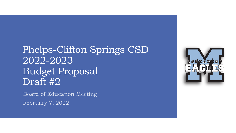## Phelps-Clifton Springs CSD 2022-2023 Budget Proposal Draft #2

Board of Education Meeting February 7, 2022

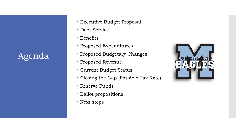### Agenda

- Executive Budget Proposal
- Debt Service
- Benefits
- Proposed Expenditures
- Proposed Budgetary Changes
- Proposed Revenue
- Current Budget Status
- Closing the Gap (Possible Tax Rate)
- Reserve Funds
- Ballot propositions
- Next steps

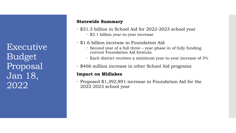Executive Budget Proposal Jan 18, 2022

#### **Statewide Summary**

- \$31.3 billion in School Aid for 2022-2023 school year \$2.1 billion year-to-year increase
- \$1.6 billion increase in Foundation Aid
	- Second year of a full three year phase in of fully funding current Foundation Aid formula
	- Each district receives a minimum year-to-year increase of 3%
- \$466 million increase in other School Aid programs

#### **Impact on Midlakes**

 Proposed \$1,392,891 increase in Foundation Aid for the 2022-2023 school year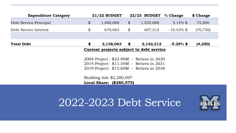| <b>Expenditure Category</b>              | <b>21/22 BUDGET</b>                      |                          |                            | 22/23 BUDGET | % Change            | \$ Change |  |  |  |
|------------------------------------------|------------------------------------------|--------------------------|----------------------------|--------------|---------------------|-----------|--|--|--|
| Debt Service-Principal                   | $\boldsymbol{\mathcal{L}}$               | 1,460,000                | $\boldsymbol{\mathcal{L}}$ | 1,535,000    | 5.14% $\frac{1}{2}$ | 75,000    |  |  |  |
| Debt Service-Interest                    | \$                                       | 678,063                  | \$                         | 607,312      | $-10.43\%$ \$       | (70, 750) |  |  |  |
|                                          |                                          |                          |                            |              |                     |           |  |  |  |
| <b>Total Debt</b>                        | \$                                       | 2,138,063                | \$                         | 2,142,312    | $-5.29\%$ \$        | (4, 250)  |  |  |  |
| Current projects subject to debt service |                                          |                          |                            |              |                     |           |  |  |  |
|                                          | 2004 Project: \$23.80M - Retires in 2030 |                          |                            |              |                     |           |  |  |  |
|                                          | 2014 Project: \$11.54M - Retires in 2031 |                          |                            |              |                     |           |  |  |  |
|                                          | 2019 Project: \$15.60M - Retires in 2038 |                          |                            |              |                     |           |  |  |  |
|                                          | Building Aid: \$2,280,097                |                          |                            |              |                     |           |  |  |  |
|                                          |                                          | Local Share: (\$280,575) |                            |              |                     |           |  |  |  |

# 2022-2023 Debt Service

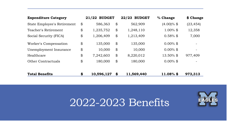| <b>Expenditure Category</b> |                            | <b>BUDGET</b><br>21/22 |               | 22/23 BUDGET | % Change      | \$ Change                |
|-----------------------------|----------------------------|------------------------|---------------|--------------|---------------|--------------------------|
| State Employee's Retirement | $\boldsymbol{\mathcal{L}}$ | 586,363                | \$            | 562,909      | $(4.00)\%$ \$ | (23, 454)                |
| Teacher's Retirement        | \$                         | 1,235,752              | $\frac{1}{2}$ | 1,248,110    | $1.00\%$ \$   | 12,358                   |
| Social Security (FICA)      | \$                         | 1,206,409              | \$            | 1,213,409    | $0.58\%$ \$   | 7,000                    |
| Worker's Compensation       | \$                         | 135,000                | \$            | 135,000      | $0.00\%$ \$   | $\overline{\phantom{m}}$ |
| Unemployment Insurance      | \$                         | 10,000                 | \$            | 10,000       | $0.00\%$ \$   | -                        |
| Healthcare                  | \$                         | 7,242,603              | \$            | 8,220,012    | 13.50% \$     | 977,409                  |
| <b>Other Contractuals</b>   | \$                         | 180,000                | \$            | 180,000      | $0.00\%$ \$   |                          |
| <b>Total Benefits</b>       | \$                         | 10,596,127             | \$            | 11,569,440   | $11.08\%$ \$  | 973,313                  |

# 2022-2023 Benefits

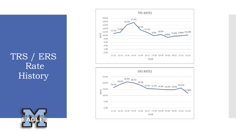### TRS / ERS Rate History





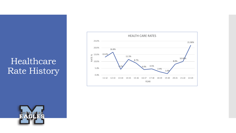### Healthcare Rate History



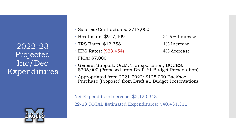2022-23 Projected Inc/Dec Expenditures



- Salaries/Contractuals: \$717,000
- $\cdot$  Healthcare: \$977,409  $\hspace{1.5cm}$  21.9% Increase
- $\cdot$  TRS Rates: \$12,358 1% Increase
- $\cdot$  ERS Rates:  $(\$23,454)$  4% decrease
- FICA: \$7,000
- 
- 
- 
- General Support, O&M, Transportation, BOCES: \$305,000 (Proposed from Draft #1 Budget Presentation)
- Appropriated from 2021-2022: \$125,000 Backhoe Purchase (Proposed from Draft #1 Budget Presentation)

Net Expenditure Increase: \$2,120,313

22-23 TOTAL Estimated Expenditures: \$40,431,311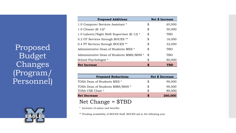Proposed Budget Changes (Program/ Personnel)



| <b>Proposed Additions</b>                   | <b>Net \$ Increase</b> |  |  |  |
|---------------------------------------------|------------------------|--|--|--|
| 1.0 Computer Services Assistant *           | \$<br>65,000           |  |  |  |
| 1.0 Cleaner $(K-12)^*$                      | \$<br>50,000           |  |  |  |
| 1.0 Laborer/Night Shift Supervisor (K-12) * | \$<br>TBD              |  |  |  |
| 0.2 OT Services through BOCES **            | \$<br>16,000           |  |  |  |
| 0.4 PT Services through BOCES **            | \$<br>32,000           |  |  |  |
| Administrative Dean of Students MES *       | \$<br>TBD              |  |  |  |
| Administrative Dean of Students MMS/MHS *   | \$<br>TBD              |  |  |  |
| School Psychologist *                       | \$<br>80,000           |  |  |  |
| <b>Net Increase</b>                         | \$<br>TBD              |  |  |  |

| <b>Proposed Reductions</b>      | <b>Net \$ Decrease</b> |         |  |  |
|---------------------------------|------------------------|---------|--|--|
| TOSA Dean of Students MES *     | SS                     | 90,000  |  |  |
| TOSA Dean of Students MMS/MHS * | SS                     | 90,000  |  |  |
| TOSA CSE Chair *                | R,                     | 80,000  |  |  |
| <b>Net Decrease</b>             |                        | 260,000 |  |  |

### Net Change = \$TBD

\* Inclusive of salary and benefits

\*\* Pending availability of BOCES Staff. BOCES aid in the following year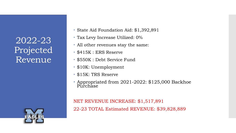2022-23 Projected Revenue



- State Aid Foundation Aid: \$1,392,891
- Tax Levy Increase Utilized: 0%
- All other revenues stay the same:
- \$415K : ERS Reserve
- \$550K : Debt Service Fund
- \$10K: Unemployment
- \$15K: TRS Reserve
- Appropriated from 2021-2022: \$125,000 Backhoe Purchase

NET REVENUE INCREASE: \$1,517,891 22-23 TOTAL Estimated REVENUE: \$39,828,889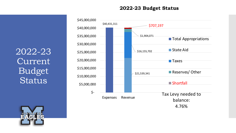**2022-23 Budget Status**

2022-23 Current Budget Status



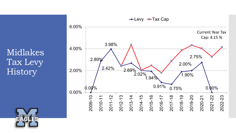Midlakes Tax Levy **History** 



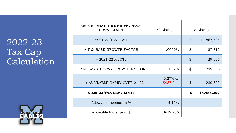### 2022-23 Tax Cap Calculation



| 22-23 REAL PROPERTY TAX<br>LEVY LIMIT | % Change                 |                | \$ Change  |
|---------------------------------------|--------------------------|----------------|------------|
| 2021-22 TAX LEVY                      |                          | $\mathfrak{B}$ | 14,867,586 |
| + TAX BASE GROWTH FACTOR              | 1.0059%                  | \$             | 87,719     |
| $+2021-22$ PILOTS                     |                          | $\mathcal{P}$  | 29,501     |
| + ALLOWABLE LEVY GROWTH FACTOR        | 1.02%                    | \$             | 299,696    |
| + AVAILABLE CARRY OVER 21-22          | $3.27\%$ or<br>\$487,244 | $\mathfrak{P}$ | 230,322    |
| 2022-23 TAX LEVY LIMIT                |                          | \$             | 15,485,322 |
| Allowable Increase in %               | 4.15%                    |                |            |
| Allowable Increase in \$              | \$617,736                |                |            |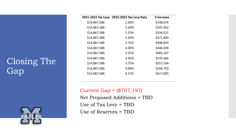## Closing The **Gap**

![](_page_13_Picture_1.jpeg)

| 2021-2022 Tax Levy | 2022-2023 Tax Levy Rate | \$ Increase |  |
|--------------------|-------------------------|-------------|--|
| \$14,867,586       | 1.00%                   | \$148,676   |  |
| \$14,867,586       | 2.00%                   | \$297,352   |  |
| \$14,867,586       | 2.25%                   | \$334,521   |  |
| \$14,867,586       | 2.50%                   | \$371,690   |  |
| \$14,867,586       | 2.75%                   | \$408,859   |  |
| \$14,867,586       | 3.00%                   | \$446,028   |  |
| \$14,867,586       | 3.25%                   | \$483,197   |  |
| \$14,867,586       | 3.50%                   | \$520,366   |  |
| \$14,867,586       | 3.75%                   | \$557,534   |  |
| \$14,867,586       | 4.00%                   | \$594,703   |  |
| \$14,867,586       | 4.15%                   | \$617,005   |  |
|                    |                         |             |  |

Current Gap = (\$707,197) Net Proposed Additions = TBD Use of Tax Levy = TBD Use of Reserves = TBD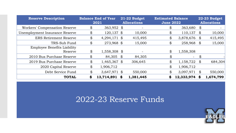| <b>Reserve Description</b>           |               | <b>Balance End of Year</b><br>2021 | 21-22 Budget<br><b>Allocations</b> | <b>Estimated Balance</b><br><b>June 2022</b> |                |                            | 22-23 Budget<br><b>Allocations</b> |
|--------------------------------------|---------------|------------------------------------|------------------------------------|----------------------------------------------|----------------|----------------------------|------------------------------------|
| <b>Workers' Compensation Reserve</b> | \$            | 363,952 \$                         | $\overline{\phantom{0}}$           | \$                                           | 363,680        | \$                         |                                    |
| Unemployment Insurance Reserve       | \$            | $120,137$ \$                       | 10,000                             | \$                                           | 110,137        | \$                         | 10,000                             |
| <b>ERS Retirement Reserve</b>        | \$            | $4,294,171$ \$                     | 415,495                            | \$                                           | 3,878,676      | \$                         | 415,495                            |
| TRS-Sub Fund                         | \$            | 273,968 \$                         | 15,000                             | \$                                           | 258,968 \$     |                            | 15,000                             |
| <b>Employee Benefits Liability</b>   |               |                                    |                                    |                                              |                |                            |                                    |
| Reserve                              | \$            | 1,558,308 \$                       |                                    | \$                                           | 1,558,308      |                            |                                    |
| 2010 Bus Purchase Reserve            | \$            | 84,305 \$                          | 84,305                             | \$                                           | Ξ.             | \$                         |                                    |
| 2019 Bus Purchase Reserve            | \$            | 1,465,367 \$                       | 306,645                            | \$                                           | $1,158,722$ \$ |                            | 684,304                            |
| 2020 Capital Reserve                 | \$            | 1,906,712                          |                                    | \$                                           | 1,906,712      |                            |                                    |
| Debt Service Fund                    | $\mathcal{L}$ | $3,647,971$ \$                     | 550,000                            | \$                                           | 3,097,971      | $\boldsymbol{\mathcal{Z}}$ | 550,000                            |
| <b>TOTAL</b>                         | \$            | 13,714,891                         | 1,381,445                          |                                              | 12,333,974     | \$                         | 1,674,799                          |

### 2022-23 Reserve Funds

![](_page_14_Picture_2.jpeg)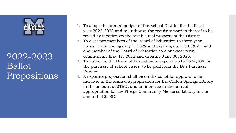### 2022-2023 Ballot Propositions

- 1. To adopt the annual budget of the School District for the fiscal year 2022-2023 and to authorize the requisite portion thereof to be raised by taxation on the taxable real property of the District.
- 2. To elect two members of the Board of Education to three-year terms, commencing July 1, 2022 and expiring June 30, 2025, and one member of the Board of Education to a one-year term commencing May 17, 2022 and expiring June 30, 2023.
- 3. To authorize the Board of Education to expend up to \$684,304 for the purchase of school buses, to be paid from the Bus Purchase Reserve.
- 4. A separate proposition shall be on the ballot for approval of an increase in the annual appropriation for the Clifton Springs Library in the amount of \$TBD, and an increase in the annual appropriation for the Phelps Community Memorial Library in the amount of \$TBD.